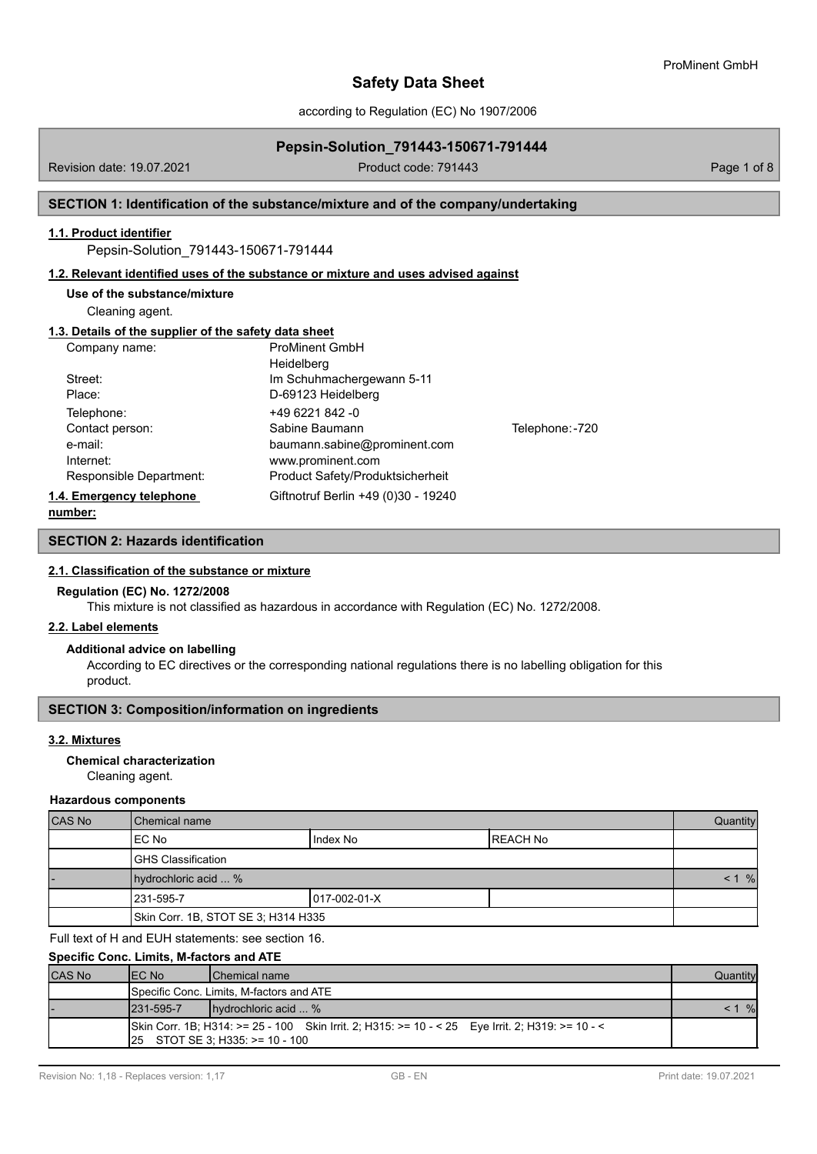according to Regulation (EC) No 1907/2006

# **Pepsin-Solution\_791443-150671-791444**

Revision date: 19.07.2021 **Product code: 791443** Product code: 791443

## **SECTION 1: Identification of the substance/mixture and of the company/undertaking**

#### **1.1. Product identifier**

Pepsin-Solution\_791443-150671-791444

#### **1.2. Relevant identified uses of the substance or mixture and uses advised against**

#### **Use of the substance/mixture**

Cleaning agent.

# **1.3. Details of the supplier of the safety data sheet**

| Company name:            | <b>ProMinent GmbH</b>               |                 |
|--------------------------|-------------------------------------|-----------------|
|                          | Heidelberg                          |                 |
| Street:                  | Im Schuhmachergewann 5-11           |                 |
| Place:                   | D-69123 Heidelberg                  |                 |
| Telephone:               | +49 6221 842 -0                     |                 |
| Contact person:          | Sabine Baumann                      | Telephone: -720 |
| e-mail:                  | baumann.sabine@prominent.com        |                 |
| Internet:                | www.prominent.com                   |                 |
| Responsible Department:  | Product Safety/Produktsicherheit    |                 |
| 1.4. Emergency telephone | Giftnotruf Berlin +49 (0)30 - 19240 |                 |
|                          |                                     |                 |

**number:**

# **SECTION 2: Hazards identification**

#### **2.1. Classification of the substance or mixture**

#### **Regulation (EC) No. 1272/2008**

This mixture is not classified as hazardous in accordance with Regulation (EC) No. 1272/2008.

### **2.2. Label elements**

#### **Additional advice on labelling**

According to EC directives or the corresponding national regulations there is no labelling obligation for this product.

#### **SECTION 3: Composition/information on ingredients**

#### **3.2. Mixtures**

#### **Chemical characterization**

Cleaning agent.

#### **Hazardous components**

| CAS No | l Chemical name                     |              |                  |  |
|--------|-------------------------------------|--------------|------------------|--|
|        | EC No                               | Index No     | <b>IREACH No</b> |  |
|        | <b>I</b> GHS Classification         |              |                  |  |
|        | hydrochloric acid  %                |              |                  |  |
|        | 1231-595-7                          | 017-002-01-X |                  |  |
|        | Skin Corr. 1B, STOT SE 3; H314 H335 |              |                  |  |

Full text of H and EUH statements: see section 16.

## **Specific Conc. Limits, M-factors and ATE**

| <b>CAS No</b> | IEC No     | <b>IChemical name</b>                                                                                                                  | Quantity |
|---------------|------------|----------------------------------------------------------------------------------------------------------------------------------------|----------|
|               |            | <b>I</b> Specific Conc. Limits. M-factors and ATE                                                                                      |          |
|               | 1231-595-7 | hydrochloric acid  %                                                                                                                   | $< 1$ %  |
|               |            | Skin Corr. 1B; H314: >= 25 - 100 Skin Irrit. 2; H315: >= 10 - < 25 Eye Irrit. 2; H319: >= 10 - <<br>$ 25$ STOT SE 3; H335: >= 10 - 100 |          |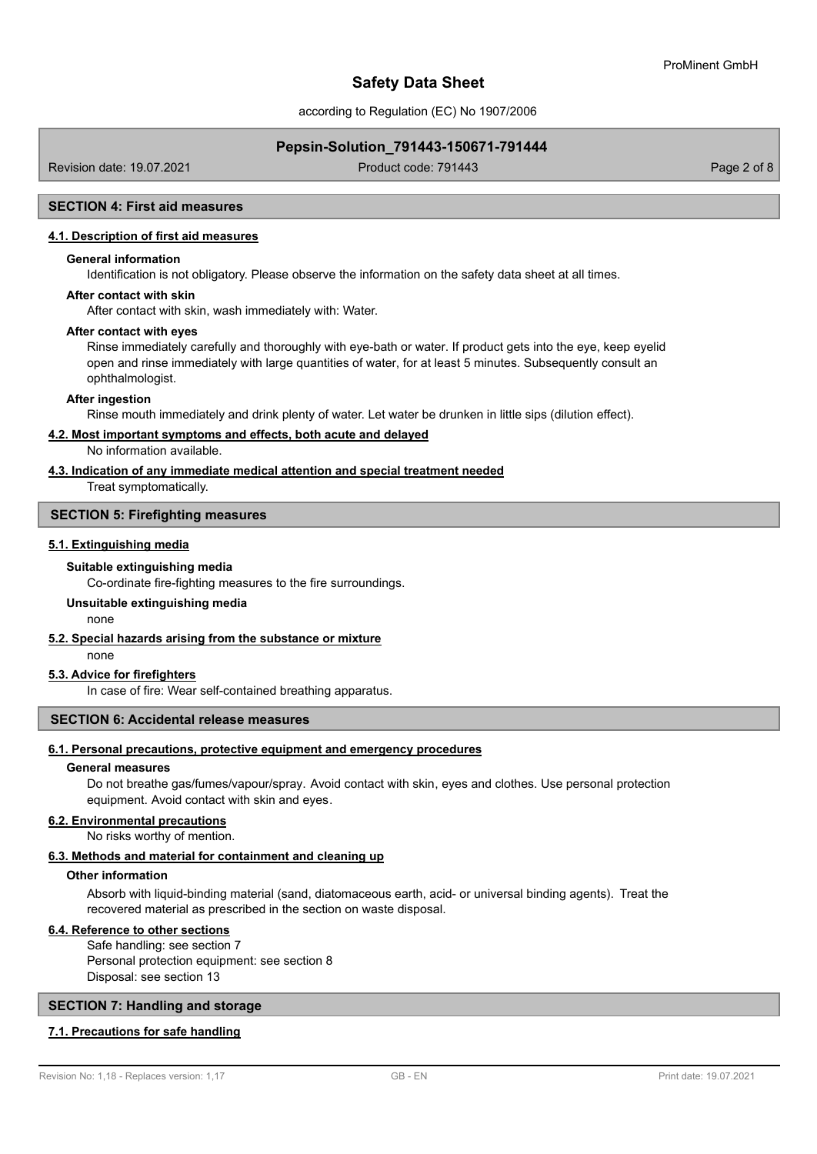according to Regulation (EC) No 1907/2006

## **Pepsin-Solution\_791443-150671-791444**

Revision date: 19.07.2021 **Product code: 791443** Product code: 791443

#### **SECTION 4: First aid measures**

#### **4.1. Description of first aid measures**

#### **General information**

Identification is not obligatory. Please observe the information on the safety data sheet at all times.

#### **After contact with skin**

After contact with skin, wash immediately with: Water.

#### **After contact with eyes**

Rinse immediately carefully and thoroughly with eye-bath or water. If product gets into the eye, keep eyelid open and rinse immediately with large quantities of water, for at least 5 minutes. Subsequently consult an ophthalmologist.

#### **After ingestion**

Rinse mouth immediately and drink plenty of water. Let water be drunken in little sips (dilution effect).

#### **4.2. Most important symptoms and effects, both acute and delayed**

No information available.

# **4.3. Indication of any immediate medical attention and special treatment needed**

Treat symptomatically.

#### **SECTION 5: Firefighting measures**

#### **5.1. Extinguishing media**

#### **Suitable extinguishing media**

Co-ordinate fire-fighting measures to the fire surroundings.

# **Unsuitable extinguishing media**

none

## **5.2. Special hazards arising from the substance or mixture**

none

# **5.3. Advice for firefighters**

In case of fire: Wear self-contained breathing apparatus.

### **SECTION 6: Accidental release measures**

#### **6.1. Personal precautions, protective equipment and emergency procedures**

#### **General measures**

Do not breathe gas/fumes/vapour/spray. Avoid contact with skin, eyes and clothes. Use personal protection equipment. Avoid contact with skin and eyes.

# **6.2. Environmental precautions**

No risks worthy of mention.

# **6.3. Methods and material for containment and cleaning up**

#### **Other information**

Absorb with liquid-binding material (sand, diatomaceous earth, acid- or universal binding agents). Treat the recovered material as prescribed in the section on waste disposal.

#### **6.4. Reference to other sections**

Safe handling: see section 7 Personal protection equipment: see section 8 Disposal: see section 13

#### **SECTION 7: Handling and storage**

#### **7.1. Precautions for safe handling**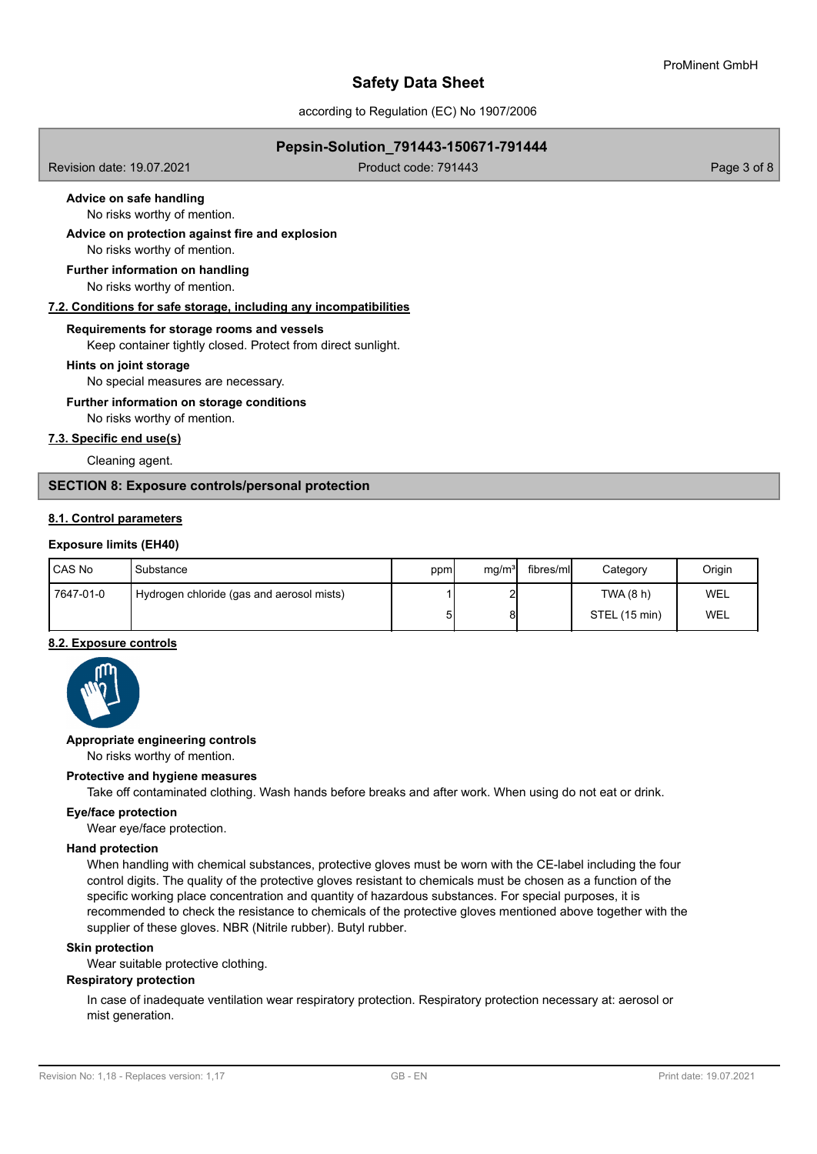according to Regulation (EC) No 1907/2006

## **Pepsin-Solution\_791443-150671-791444**

Revision date: 19.07.2021 **Product code: 791443** Product code: 791443

# **Advice on safe handling**

No risks worthy of mention.

No risks worthy of mention. **Advice on protection against fire and explosion**

No risks worthy of mention. **Further information on handling**

#### **7.2. Conditions for safe storage, including any incompatibilities**

#### **Requirements for storage rooms and vessels**

Keep container tightly closed. Protect from direct sunlight.

#### **Hints on joint storage**

No special measures are necessary.

#### **Further information on storage conditions**

No risks worthy of mention.

# **7.3. Specific end use(s)**

Cleaning agent.

# **SECTION 8: Exposure controls/personal protection**

## **8.1. Control parameters**

#### **Exposure limits (EH40)**

| <b>ICAS No</b> | Substance                                 | ppm | mq/m <sup>3</sup> | fibres/mll | Category      | Origin |
|----------------|-------------------------------------------|-----|-------------------|------------|---------------|--------|
| 7647-01-0      | Hydrogen chloride (gas and aerosol mists) |     |                   |            | TWA (8 h)     | WEL    |
|                |                                           | 5   |                   |            | STEL (15 min) | WEL    |

# **8.2. Exposure controls**



#### **Appropriate engineering controls**

No risks worthy of mention.

#### **Protective and hygiene measures**

Take off contaminated clothing. Wash hands before breaks and after work. When using do not eat or drink.

# **Eye/face protection**

Wear eye/face protection.

# **Hand protection**

When handling with chemical substances, protective gloves must be worn with the CE-label including the four control digits. The quality of the protective gloves resistant to chemicals must be chosen as a function of the specific working place concentration and quantity of hazardous substances. For special purposes, it is recommended to check the resistance to chemicals of the protective gloves mentioned above together with the supplier of these gloves. NBR (Nitrile rubber). Butyl rubber.

#### **Skin protection**

Wear suitable protective clothing.

#### **Respiratory protection**

In case of inadequate ventilation wear respiratory protection. Respiratory protection necessary at: aerosol or mist generation.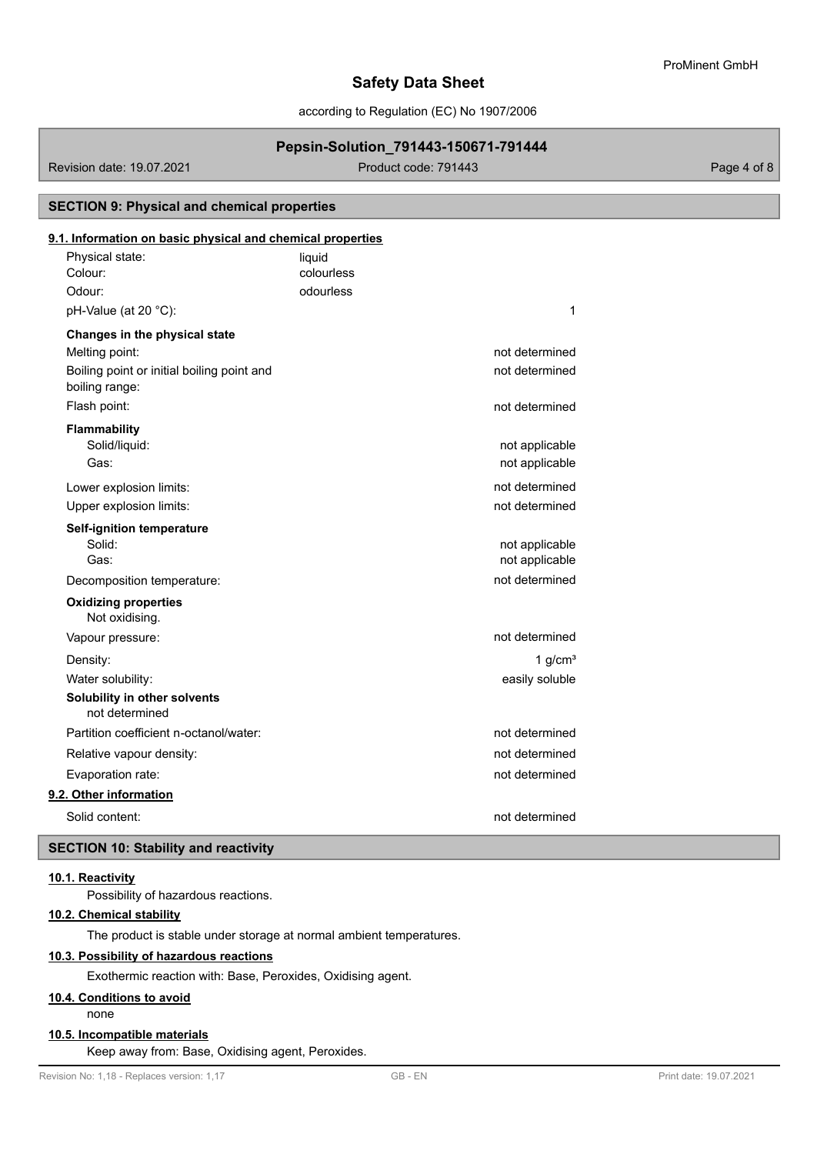according to Regulation (EC) No 1907/2006

# **Pepsin-Solution\_791443-150671-791444**

Revision date: 19.07.2021 Product code: 791443

# Physical state: liquid **9.1. Information on basic physical and chemical properties SECTION 9: Physical and chemical properties** Colour: colourless Odour: odourless  $pH-Value (at 20 °C):$  1 **Changes in the physical state** Melting point: not determined that the state of the state of the state of the state of the state of the state of the state of the state of the state of the state of the state of the state of the state of the state of the s Boiling point or initial boiling point and not determined boiling range: Flash point: not determined **Flammability** Solid/liquid: not applicable to the state of the state of the state of the state of the state of the state of the state of the state of the state of the state of the state of the state of the state of the state of the stat Gas: **not applicable** contains the container of the container of the container of the container of the containing of the containing of the containing of the containing of the containing of the containing of the containing Lower explosion limits:  $\blacksquare$ Upper explosion limits:  $\blacksquare$ **Self-ignition temperature** Solid: **not applicable** solid: the solid state of the solid state of the solid state of the solid state of the solid state of the solid state of the solid state of the solid state of the solid state of the solid state of t Gas: **not applicable** Gas: **not applicable** Gas: **not applicable** Gas: **not applicable** Gas: **not applicable** Gas: **not applicable** Gas: **not applicable** Gas: **not** applicable Decomposition temperature: not determined Not oxidising. **Oxidizing properties** Vapour pressure: not determined Density: 1 g/cm³ Water solubility: easily soluble **Solubility in other solvents** not determined Partition coefficient n-octanol/water: not determined Relative vapour density: not determined Evaporation rate: not determined **9.2. Other information** Solid content: not determined **SECTION 10: Stability and reactivity**

### **10.1. Reactivity**

Possibility of hazardous reactions.

# **10.2. Chemical stability**

The product is stable under storage at normal ambient temperatures.

#### **10.3. Possibility of hazardous reactions**

Exothermic reaction with: Base, Peroxides, Oxidising agent.

# **10.4. Conditions to avoid**

none

# **10.5. Incompatible materials**

Keep away from: Base, Oxidising agent, Peroxides.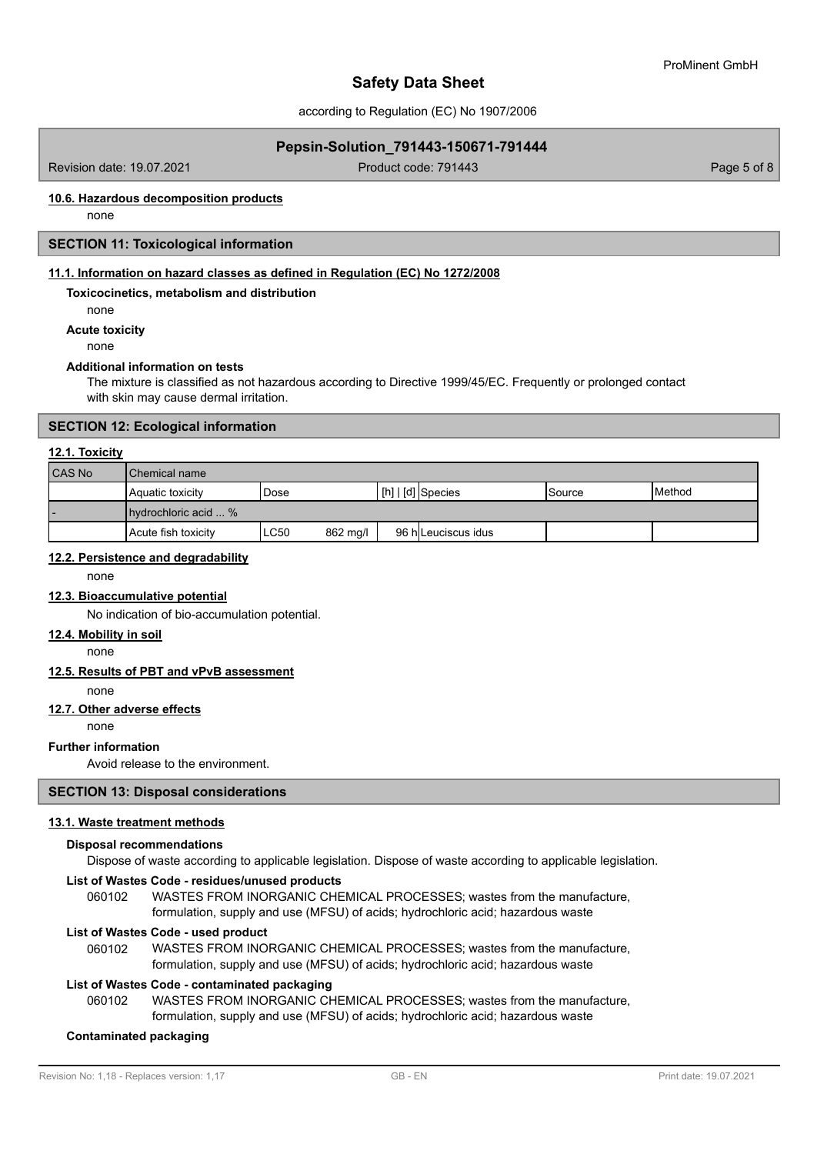according to Regulation (EC) No 1907/2006

## **Pepsin-Solution\_791443-150671-791444**

Revision date: 19.07.2021 **Product code: 791443** Product code: 791443

# **10.6. Hazardous decomposition products**

none

# **SECTION 11: Toxicological information**

## **11.1. Information on hazard classes as defined in Regulation (EC) No 1272/2008**

## **Toxicocinetics, metabolism and distribution**

none

# **Acute toxicity**

none

### **Additional information on tests**

The mixture is classified as not hazardous according to Directive 1999/45/EC. Frequently or prolonged contact with skin may cause dermal irritation.

#### **SECTION 12: Ecological information**

#### **12.1. Toxicity**

| <b>CAS No</b> | l Chemical name            |      |          |  |                     |         |                 |  |
|---------------|----------------------------|------|----------|--|---------------------|---------|-----------------|--|
|               | Aquatic toxicity           | Dose |          |  | $[h]   [d]$ Species | ISource | <b>I</b> Method |  |
| . ا           | I hydrochloric acid  %     |      |          |  |                     |         |                 |  |
|               | <b>Acute fish toxicity</b> | ∟C50 | 862 mg/l |  | 96 hlLeuciscus idus |         |                 |  |

## **12.2. Persistence and degradability**

none

# **12.3. Bioaccumulative potential**

No indication of bio-accumulation potential.

#### **12.4. Mobility in soil**

none

#### **12.5. Results of PBT and vPvB assessment**

none

## **12.7. Other adverse effects**

none

#### **Further information**

Avoid release to the environment.

## **SECTION 13: Disposal considerations**

## **13.1. Waste treatment methods**

# **Disposal recommendations**

Dispose of waste according to applicable legislation. Dispose of waste according to applicable legislation.

# **List of Wastes Code - residues/unused products**

060102 WASTES FROM INORGANIC CHEMICAL PROCESSES; wastes from the manufacture, formulation, supply and use (MFSU) of acids; hydrochloric acid; hazardous waste

#### **List of Wastes Code - used product**

WASTES FROM INORGANIC CHEMICAL PROCESSES; wastes from the manufacture, formulation, supply and use (MFSU) of acids; hydrochloric acid; hazardous waste 060102

#### **List of Wastes Code - contaminated packaging**

WASTES FROM INORGANIC CHEMICAL PROCESSES; wastes from the manufacture, formulation, supply and use (MFSU) of acids; hydrochloric acid; hazardous waste 060102

#### **Contaminated packaging**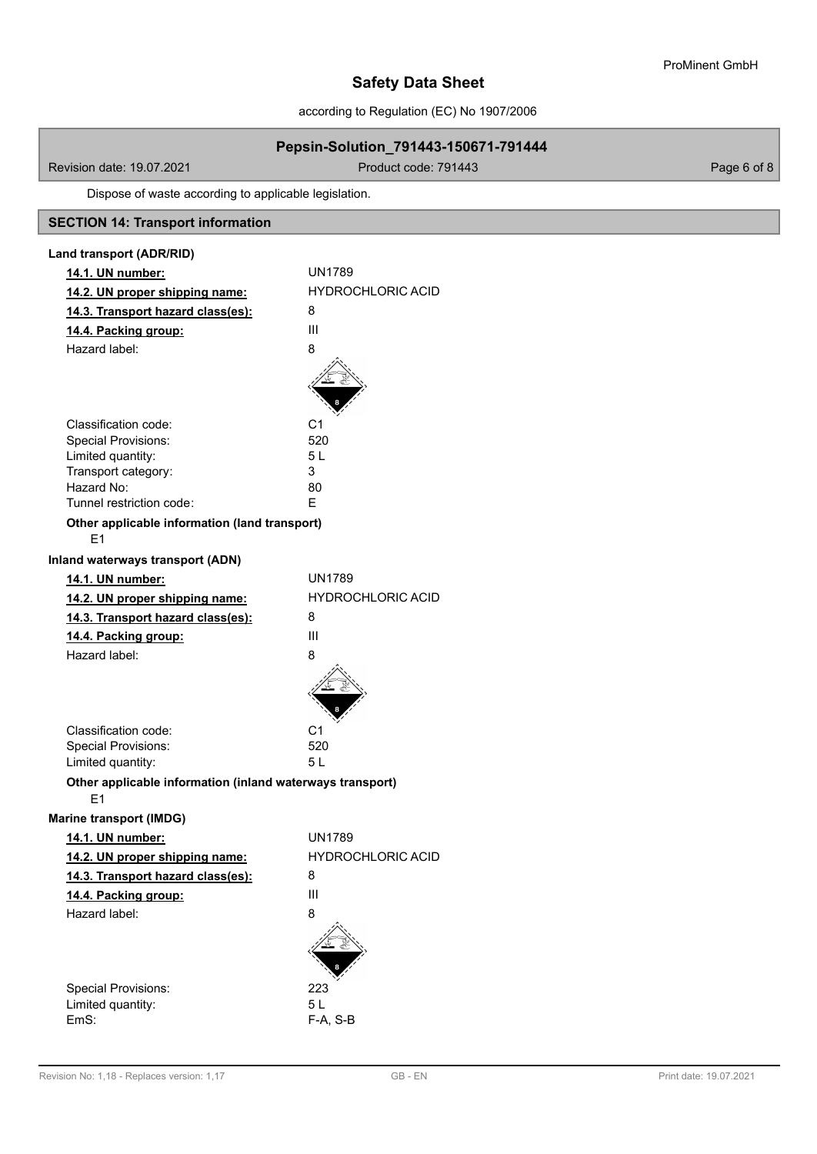according to Regulation (EC) No 1907/2006

# **Pepsin-Solution\_791443-150671-791444**

Revision date: 19.07.2021 **Product code: 791443** Page 6 of 8

Dispose of waste according to applicable legislation.

# **SECTION 14: Transport information**

| Land transport (ADR/RID)                                  |                          |  |  |  |  |
|-----------------------------------------------------------|--------------------------|--|--|--|--|
| 14.1. UN number:                                          | <b>UN1789</b>            |  |  |  |  |
| 14.2. UN proper shipping name:                            | <b>HYDROCHLORIC ACID</b> |  |  |  |  |
| 14.3. Transport hazard class(es):                         | 8                        |  |  |  |  |
| 14.4. Packing group:                                      | Ш                        |  |  |  |  |
| Hazard label:                                             | 8                        |  |  |  |  |
|                                                           |                          |  |  |  |  |
|                                                           |                          |  |  |  |  |
|                                                           |                          |  |  |  |  |
| Classification code:                                      | C1                       |  |  |  |  |
| <b>Special Provisions:</b>                                | 520                      |  |  |  |  |
| Limited quantity:                                         | 5L                       |  |  |  |  |
| Transport category:                                       | 3                        |  |  |  |  |
| Hazard No:                                                | 80                       |  |  |  |  |
| Tunnel restriction code:                                  | F.                       |  |  |  |  |
| Other applicable information (land transport)             |                          |  |  |  |  |
| E <sub>1</sub>                                            |                          |  |  |  |  |
| Inland waterways transport (ADN)                          |                          |  |  |  |  |
| 14.1. UN number:                                          | <b>UN1789</b>            |  |  |  |  |
| 14.2. UN proper shipping name:                            | <b>HYDROCHLORIC ACID</b> |  |  |  |  |
| 14.3. Transport hazard class(es):                         | 8                        |  |  |  |  |
| 14.4. Packing group:                                      | Ш                        |  |  |  |  |
| Hazard label:                                             | 8                        |  |  |  |  |
|                                                           |                          |  |  |  |  |
|                                                           |                          |  |  |  |  |
|                                                           |                          |  |  |  |  |
| Classification code:                                      | C1                       |  |  |  |  |
| <b>Special Provisions:</b>                                | 520                      |  |  |  |  |
| Limited quantity:                                         | 5 L                      |  |  |  |  |
| Other applicable information (inland waterways transport) |                          |  |  |  |  |
| F1                                                        |                          |  |  |  |  |
| <b>Marine transport (IMDG)</b>                            |                          |  |  |  |  |
| 14.1. UN number:                                          | <b>UN1789</b>            |  |  |  |  |
| 14.2. UN proper shipping name:                            | HYDROCHLORIC ACID        |  |  |  |  |
| 14.3. Transport hazard class(es):                         | 8                        |  |  |  |  |
| 14.4. Packing group:                                      | Ш                        |  |  |  |  |
| Hazard label:                                             | 8                        |  |  |  |  |
|                                                           |                          |  |  |  |  |
|                                                           |                          |  |  |  |  |
|                                                           |                          |  |  |  |  |
| <b>Special Provisions:</b>                                | 223                      |  |  |  |  |
| Limited quantity:                                         | 5L                       |  |  |  |  |
| EmS:                                                      | F-A, S-B                 |  |  |  |  |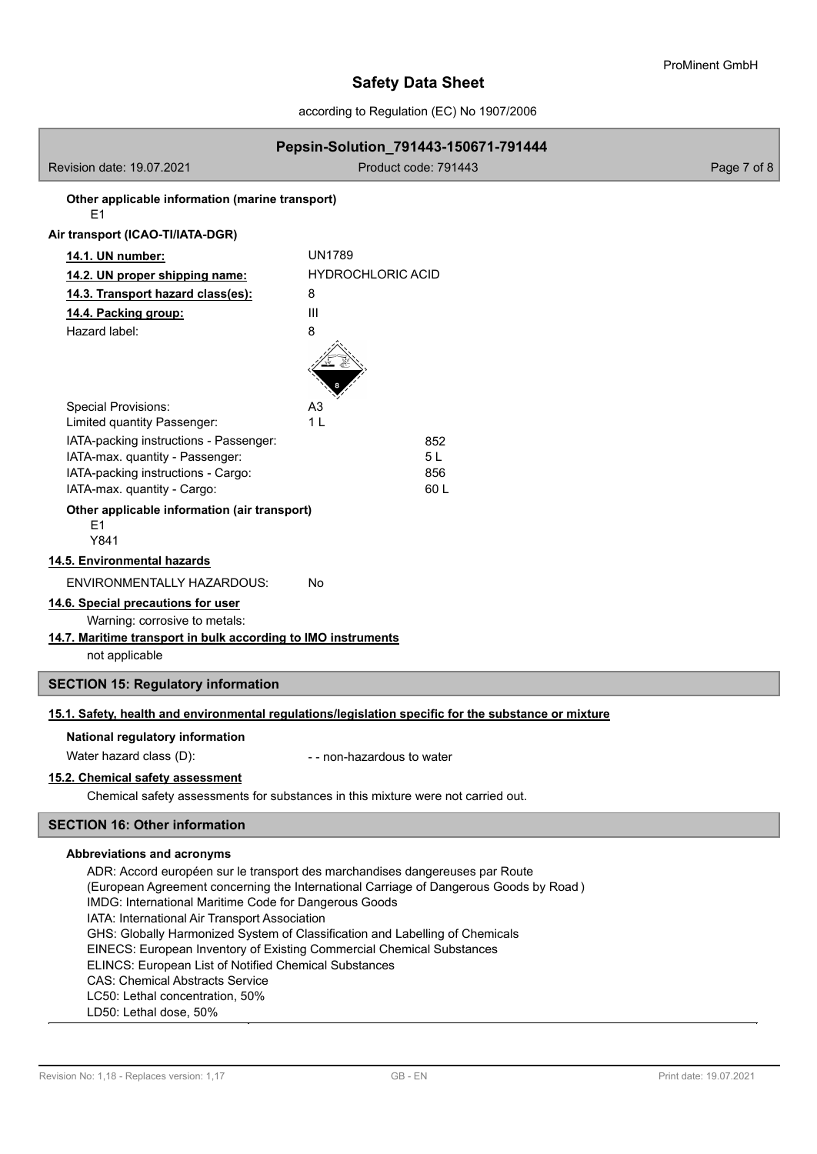according to Regulation (EC) No 1907/2006

| Pepsin-Solution_791443-150671-791444                                                                                                                                  |                                                                                                      |             |  |  |  |  |  |
|-----------------------------------------------------------------------------------------------------------------------------------------------------------------------|------------------------------------------------------------------------------------------------------|-------------|--|--|--|--|--|
| Revision date: 19.07.2021                                                                                                                                             | Product code: 791443                                                                                 | Page 7 of 8 |  |  |  |  |  |
| Other applicable information (marine transport)<br>E <sub>1</sub>                                                                                                     |                                                                                                      |             |  |  |  |  |  |
| Air transport (ICAO-TI/IATA-DGR)                                                                                                                                      |                                                                                                      |             |  |  |  |  |  |
| 14.1. UN number:                                                                                                                                                      | <b>UN1789</b>                                                                                        |             |  |  |  |  |  |
| <b>HYDROCHLORIC ACID</b><br>14.2. UN proper shipping name:                                                                                                            |                                                                                                      |             |  |  |  |  |  |
| 14.3. Transport hazard class(es):                                                                                                                                     | 8                                                                                                    |             |  |  |  |  |  |
| 14.4. Packing group:                                                                                                                                                  | III                                                                                                  |             |  |  |  |  |  |
| Hazard label:                                                                                                                                                         | 8                                                                                                    |             |  |  |  |  |  |
|                                                                                                                                                                       |                                                                                                      |             |  |  |  |  |  |
| <b>Special Provisions:</b>                                                                                                                                            | A3                                                                                                   |             |  |  |  |  |  |
| Limited quantity Passenger:                                                                                                                                           | 1 L                                                                                                  |             |  |  |  |  |  |
| IATA-packing instructions - Passenger:<br>IATA-max. quantity - Passenger:                                                                                             | 852<br>5L                                                                                            |             |  |  |  |  |  |
| IATA-packing instructions - Cargo:                                                                                                                                    | 856                                                                                                  |             |  |  |  |  |  |
| IATA-max. quantity - Cargo:                                                                                                                                           | 60 L                                                                                                 |             |  |  |  |  |  |
| Other applicable information (air transport)<br>E1<br>Y841                                                                                                            |                                                                                                      |             |  |  |  |  |  |
| 14.5. Environmental hazards                                                                                                                                           |                                                                                                      |             |  |  |  |  |  |
| <b>ENVIRONMENTALLY HAZARDOUS:</b>                                                                                                                                     | No                                                                                                   |             |  |  |  |  |  |
| 14.6. Special precautions for user                                                                                                                                    |                                                                                                      |             |  |  |  |  |  |
| Warning: corrosive to metals:                                                                                                                                         |                                                                                                      |             |  |  |  |  |  |
| 14.7. Maritime transport in bulk according to IMO instruments                                                                                                         |                                                                                                      |             |  |  |  |  |  |
| not applicable                                                                                                                                                        |                                                                                                      |             |  |  |  |  |  |
| <b>SECTION 15: Regulatory information</b>                                                                                                                             |                                                                                                      |             |  |  |  |  |  |
|                                                                                                                                                                       |                                                                                                      |             |  |  |  |  |  |
|                                                                                                                                                                       | 15.1. Safety, health and environmental regulations/legislation specific for the substance or mixture |             |  |  |  |  |  |
| National regulatory information                                                                                                                                       |                                                                                                      |             |  |  |  |  |  |
| Water hazard class (D):                                                                                                                                               | - - non-hazardous to water                                                                           |             |  |  |  |  |  |
| 15.2. Chemical safety assessment                                                                                                                                      |                                                                                                      |             |  |  |  |  |  |
| Chemical safety assessments for substances in this mixture were not carried out.                                                                                      |                                                                                                      |             |  |  |  |  |  |
| <b>SECTION 16: Other information</b>                                                                                                                                  |                                                                                                      |             |  |  |  |  |  |
|                                                                                                                                                                       |                                                                                                      |             |  |  |  |  |  |
| Abbreviations and acronyms                                                                                                                                            |                                                                                                      |             |  |  |  |  |  |
| ADR: Accord européen sur le transport des marchandises dangereuses par Route<br>(European Agreement concerning the International Carriage of Dangerous Goods by Road) |                                                                                                      |             |  |  |  |  |  |
| IMDG: International Maritime Code for Dangerous Goods                                                                                                                 |                                                                                                      |             |  |  |  |  |  |
| IATA: International Air Transport Association                                                                                                                         |                                                                                                      |             |  |  |  |  |  |
| GHS: Globally Harmonized System of Classification and Labelling of Chemicals<br>EINECS: European Inventory of Existing Commercial Chemical Substances                 |                                                                                                      |             |  |  |  |  |  |
|                                                                                                                                                                       |                                                                                                      |             |  |  |  |  |  |

ELINCS: European List of Notified Chemical Substances

CAS: Chemical Abstracts Service

LC50: Lethal concentration, 50%

LD50: Lethal dose, 50%